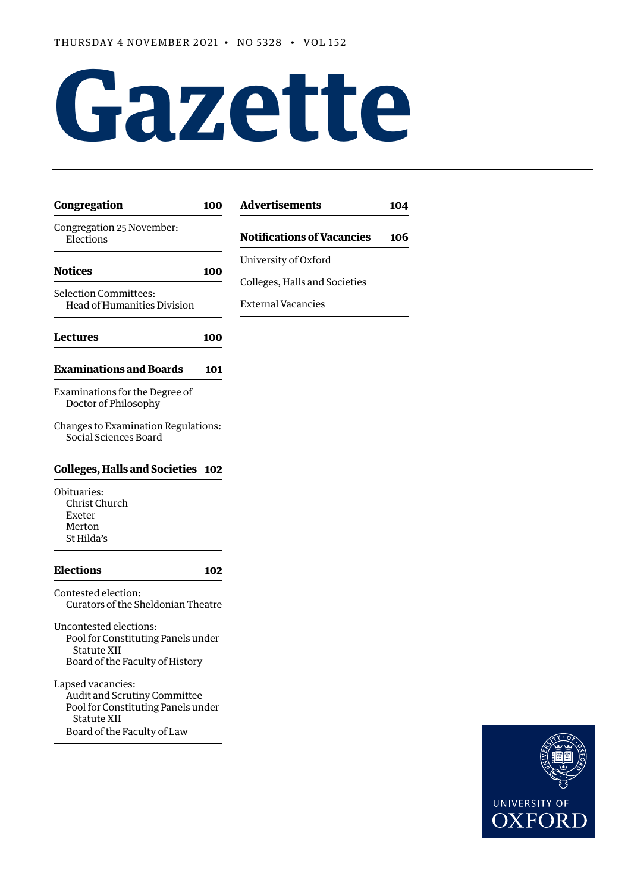# **Gazette**

| Congregation                                                                                                                          | 100 | <b>Advertisements</b>         |
|---------------------------------------------------------------------------------------------------------------------------------------|-----|-------------------------------|
| Congregation 25 November:<br>Elections                                                                                                |     | <b>Notifications of Vacai</b> |
| <b>Notices</b>                                                                                                                        | 100 | University of Oxford          |
|                                                                                                                                       |     | Colleges, Halls and Socie     |
| Selection Committees:<br>Head of Humanities Division                                                                                  |     | <b>External Vacancies</b>     |
| Lectures                                                                                                                              | 100 |                               |
| <b>Examinations and Boards</b>                                                                                                        | 101 |                               |
| Examinations for the Degree of<br>Doctor of Philosophy                                                                                |     |                               |
| Changes to Examination Regulations:<br>Social Sciences Board                                                                          |     |                               |
| <b>Colleges, Halls and Societies</b>                                                                                                  | 102 |                               |
| Obituaries:<br>Christ Church<br>Exeter<br>Merton<br>St Hilda's                                                                        |     |                               |
| <b>Elections</b>                                                                                                                      | 102 |                               |
| Contested election:<br>Curators of the Sheldonian Theatre                                                                             |     |                               |
| Uncontested elections:<br>Pool for Constituting Panels under<br>Statute XII<br>Board of the Faculty of History                        |     |                               |
| Lapsed vacancies:<br>Audit and Scrutiny Committee<br>Pool for Constituting Panels under<br>Statute XII<br>Board of the Faculty of Law |     |                               |



**[Advertisements](#page-5-0) 104**

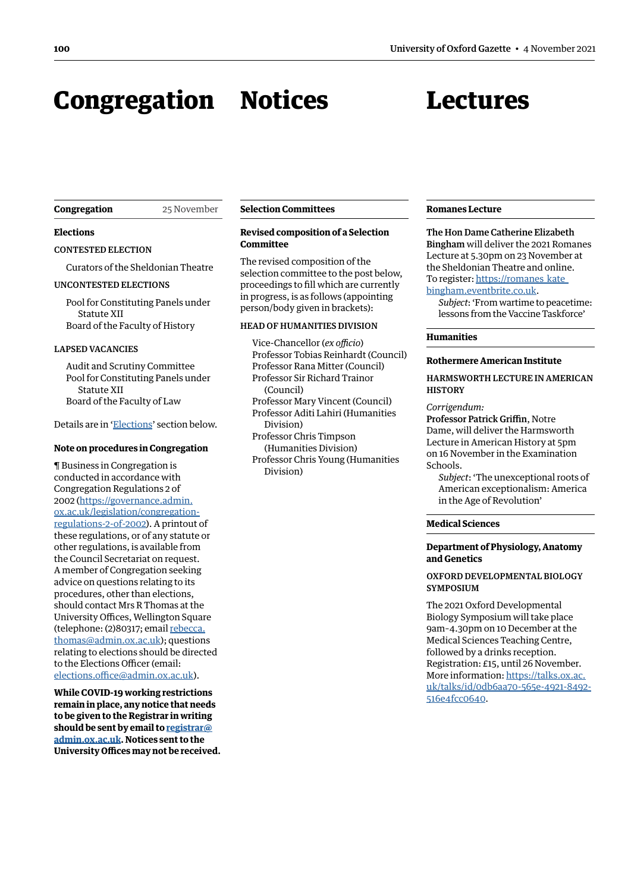# <span id="page-1-0"></span>Congregation Notices

# Lectures

#### **Congregation** 25 November

# **Elections**

CONTESTED ELECTION

Curators of the Sheldonian Theatre

#### UNCONTESTED ELECTIONS

Pool for Constituting Panels under Statute XII Board of the Faculty of History

#### LAPSED VACANCIES

Audit and Scrutiny Committee Pool for Constituting Panels under Statute XII Board of the Faculty of Law

Details are in '[Elections'](#page-3-1) section below.

# **Note on procedures in Congregation**

¶ Business in Congregation is conducted in accordance with Congregation Regulations 2 of 2002 [\(https://governance.admin.](https://governance.admin.ox.ac.uk/legislation/congregation-regulations-2-of-2002) [ox.ac.uk/legislation/congregation](https://governance.admin.ox.ac.uk/legislation/congregation-regulations-2-of-2002)[regulations-2-of-2002\)](https://governance.admin.ox.ac.uk/legislation/congregation-regulations-2-of-2002). A printout of these regulations, or of any statute or other regulations, is available from the Council Secretariat on request. A member of Congregation seeking advice on questions relating to its procedures, other than elections, should contact Mrs R Thomas at the University Offices, Wellington Square (telephone: (2)80317; email [rebecca.](mailto:rebecca.thomas@admin.ox.ac.uk) [thomas@admin.ox.ac.uk\)](mailto:rebecca.thomas@admin.ox.ac.uk); questions relating to elections should be directed to the Elections Officer (email: [elections.office@admin.ox.ac.uk\)](mailto:elections.office@admin.ox.ac.uk).

**While COVID-19 working restrictions remain in place, any notice that needs to be given to the Registrar in writing should be sent by email to [registrar@](mailto:registrar%40admin.ox.ac.uk?subject=) [admin.ox.ac.uk](mailto:registrar%40admin.ox.ac.uk?subject=). Notices sent to the University Offices may not be received.**

# **Selection Committees**

# **Revised composition of a Selection Committee**

The revised composition of the selection committee to the post below, proceedings to fill which are currently in progress, is as follows (appointing person/body given in brackets):

## HEAD OF HUMANITIES DIVISION

Vice-Chancellor (*ex officio*) Professor Tobias Reinhardt (Council) Professor Rana Mitter (Council) Professor Sir Richard Trainor (Council) Professor Mary Vincent (Council) Professor Aditi Lahiri (Humanities Division) Professor Chris Timpson (Humanities Division)

Professor Chris Young (Humanities Division)

#### **Romanes Lecture**

The Hon Dame Catherine Elizabeth Bingham will deliver the 2021 Romanes Lecture at 5.30pm on 23 November at the Sheldonian Theatre and online. To register: [https://romanes\\_kate\\_](https://romanes_kate_bingham.eventbrite.co.uk) [bingham.eventbrite.co.uk](https://romanes_kate_bingham.eventbrite.co.uk).

*Subject*: 'From wartime to peacetime: lessons from the Vaccine Taskforce'

#### **Humanities**

#### **Rothermere American Institute**

HARMSWORTH LECTURE IN AMERICAN **HISTORY** 

#### *Corrigendum:*

Professor Patrick Griffin, Notre Dame, will deliver the Harmsworth Lecture in American History at 5pm on 16 November in the Examination Schools.

*Subject*: 'The unexceptional roots of American exceptionalism: America in the Age of Revolution'

#### **Medical Sciences**

# **Department of Physiology, Anatomy and Genetics**

# OXFORD DEVELOPMENTAL BIOLOGY **SYMPOSIUM**

The 2021 Oxford Developmental Biology Symposium will take place 9am–4.30pm on 10 December at the Medical Sciences Teaching Centre, followed by a drinks reception. Registration: £15, until 26 November. More information: [https://talks.ox.ac.](https://talks.ox.ac.uk/talks/id/0db6aa70-565e-4921-8492-516e4fcc0640) [uk/talks/id/0db6aa70-565e-4921-8492-](https://talks.ox.ac.uk/talks/id/0db6aa70-565e-4921-8492-516e4fcc0640) [516e4fcc0640](https://talks.ox.ac.uk/talks/id/0db6aa70-565e-4921-8492-516e4fcc0640).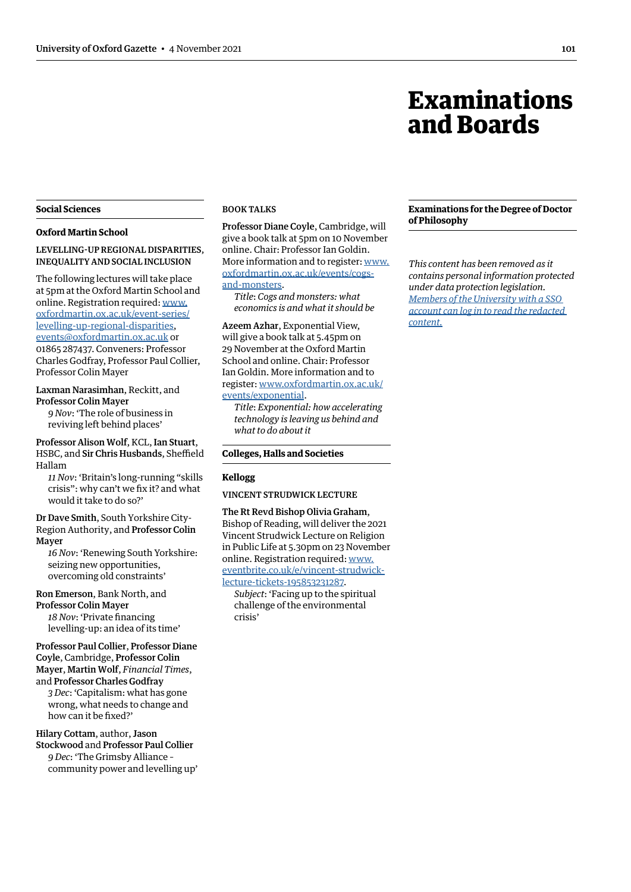# Examinations and Boards

# <span id="page-2-0"></span>**Social Sciences**

#### **Oxford Martin School**

LEVELLING-UP REGIONAL DISPARITIES, INEQUALITY AND SOCIAL INCLUSION

The following lectures will take place at 5pm at the Oxford Martin School and online. Registration required: [www.](http://www.oxfordmartin.ox.ac.uk/event-series/levelling-up-regional-disparities) [oxfordmartin.ox.ac.uk/event-series/](http://www.oxfordmartin.ox.ac.uk/event-series/levelling-up-regional-disparities) [levelling-up-regional-disparities,](http://www.oxfordmartin.ox.ac.uk/event-series/levelling-up-regional-disparities) [events@oxfordmartin.ox.ac.uk](mailto:events@oxfordmartin.ox.ac.uk) or 01865 287437. Conveners: Professor Charles Godfray, Professor Paul Collier, Professor Colin Mayer

#### Laxman Narasimhan, Reckitt, and Professor Colin Mayer

*9 Nov*: 'The role of business in reviving left behind places'

Professor Alison Wolf, KCL, Ian Stuart, HSBC, and Sir Chris Husbands, Sheffield Hallam

*11 Nov*: 'Britain's long-running "skills crisis": why can't we fix it? and what would it take to do so?'

Dr Dave Smith, South Yorkshire City-Region Authority, and Professor Colin Mayer

*16 Nov*: 'Renewing South Yorkshire: seizing new opportunities, overcoming old constraints'

Ron Emerson, Bank North, and Professor Colin Mayer *18 Nov*: 'Private financing levelling-up: an idea of its time'

# Professor Paul Collier, Professor Diane Coyle, Cambridge, Professor Colin Mayer, Martin Wolf, *Financial Times*,

and Professor Charles Godfray *3 Dec*: 'Capitalism: what has gone wrong, what needs to change and how can it be fixed?'

Hilary Cottam, author, Jason Stockwood and Professor Paul Collier *9 Dec*: 'The Grimsby Alliance – community power and levelling up'

# BOOK TALKS

Professor Diane Coyle, Cambridge, will give a book talk at 5pm on 10 November online. Chair: Professor Ian Goldin. More information and to register: [www.](http://www.oxfordmartin.ox.ac.uk/events/cogs-and-monsters) [oxfordmartin.ox.ac.uk/events/cogs](http://www.oxfordmartin.ox.ac.uk/events/cogs-and-monsters)[and-monsters.](http://www.oxfordmartin.ox.ac.uk/events/cogs-and-monsters)

*Title*: *Cogs and monsters: what economics is and what it should be*

Azeem Azhar, Exponential View, will give a book talk at 5.45pm on 29 November at the Oxford Martin School and online. Chair: Professor Ian Goldin. More information and to register: [www.oxfordmartin.ox.ac.uk/](http://www.oxfordmartin.ox.ac.uk/events/exponential) [events/exponential](http://www.oxfordmartin.ox.ac.uk/events/exponential).

*Title*: *Exponential: how accelerating technology is leaving us behind and what to do about it*

#### **Colleges, Halls and Societies**

#### **Kellogg**

VINCENT STRUDWICK LECTURE

# The Rt Revd Bishop Olivia Graham,

Bishop of Reading, will deliver the 2021 Vincent Strudwick Lecture on Religion in Public Life at 5.30pm on 23 November online. Registration required: [www.](http://www.eventbrite.co.uk/e/vincent-strudwick-lecture-tickets-195853231287) [eventbrite.co.uk/e/vincent-strudwick](http://www.eventbrite.co.uk/e/vincent-strudwick-lecture-tickets-195853231287)[lecture-tickets-195853231287.](http://www.eventbrite.co.uk/e/vincent-strudwick-lecture-tickets-195853231287)

*Subject*: 'Facing up to the spiritual challenge of the environmental crisis'

# **Examinations for the Degree of Doctor of Philosophy**

*This content has been removed as it contains personal information protected under data protection legislation. Members of the University with a SSO [account can log in to read the redacted](https://unioxfordnexus.sharepoint.com/sites/PublicAffairsDirectorate-Gazette/Online%20Gazette%20Issues/Gazette%202021-22/4%20November%202021%20-%20No%205328.pdf#page=3)  content.*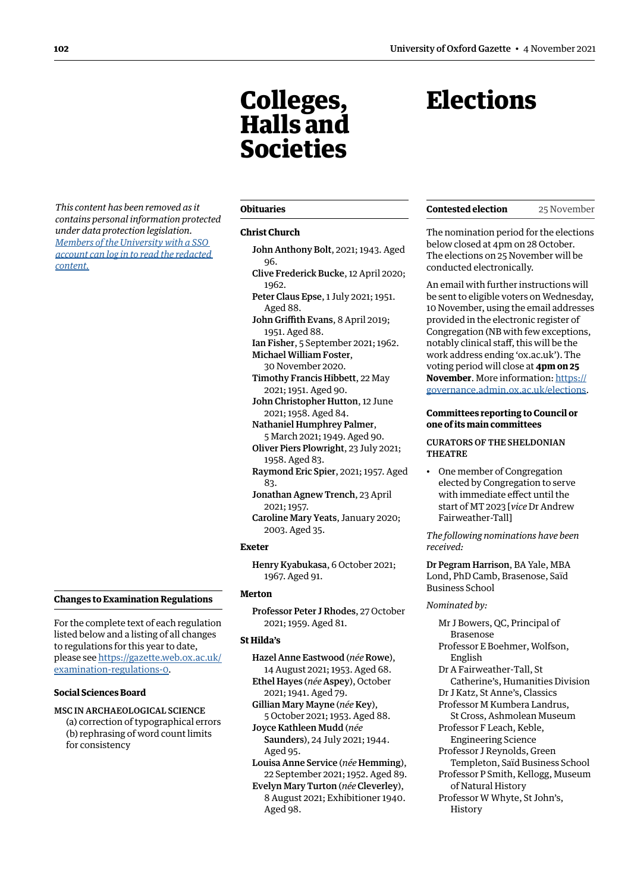# <span id="page-3-0"></span>*This content has been removed as it contains personal information protected under data protection legislation. Members of the University with a SSO [account can log in to read the redacted](https://unioxfordnexus.sharepoint.com/sites/PublicAffairsDirectorate-Gazette/Online%20Gazette%20Issues/Gazette%202021-22/4%20November%202021%20-%20No%205328.pdf#page=4)  content.*

# **Changes to Examination Regulations**

For the complete text of each regulation listed below and a listing of all changes to regulations for this year to date, please see [https://gazette.web.ox.ac.uk/](https://gazette.web.ox.ac.uk/examination-regulations-0) [examination-regulations-0.](https://gazette.web.ox.ac.uk/examination-regulations-0)

# **Social Sciences Board**

MSC IN ARCHAEOLOGICAL SCIENCE

(a) correction of typographical errors (b) rephrasing of word count limits for consistency

# **Obituaries**

#### **Christ Church**

Colleges, Halls and

Societies

- John Anthony Bolt, 2021; 1943. Aged 96.
- Clive Frederick Bucke, 12 April 2020; 1962.
- Peter Claus Epse, 1 July 2021; 1951. Aged 88.
- John Griffith Evans, 8 April 2019; 1951. Aged 88.

Ian Fisher, 5 September 2021; 1962. Michael William Foster,

- 30 November 2020. Timothy Francis Hibbett, 22 May 2021; 1951. Aged 90.
- John Christopher Hutton, 12 June 2021; 1958. Aged 84.
- Nathaniel Humphrey Palmer, 5 March 2021; 1949. Aged 90.

Oliver Piers Plowright, 23 July 2021; 1958. Aged 83.

Raymond Eric Spier, 2021; 1957. Aged 83.

- Jonathan Agnew Trench, 23 April 2021; 1957.
- Caroline Mary Yeats, January 2020; 2003. Aged 35.

#### **Exeter**

Henry Kyabukasa, 6 October 2021; 1967. Aged 91.

# **Merton**

Professor Peter J Rhodes, 27 October 2021; 1959. Aged 81.

# **St Hilda's**

- Hazel Anne Eastwood (*née* Rowe), 14 August 2021; 1953. Aged 68.
- Ethel Hayes (*née* Aspey), October 2021; 1941. Aged 79.

Gillian Mary Mayne (*née* Key), 5 October 2021; 1953. Aged 88. Joyce Kathleen Mudd (*née* 

- Saunders), 24 July 2021; 1944. Aged 95.
- Louisa Anne Service (*née* Hemming), 22 September 2021; 1952. Aged 89.
- Evelyn Mary Turton (*née* Cleverley), 8 August 2021; Exhibitioner 1940. Aged 98.

# <span id="page-3-1"></span>**Elections**

| <b>Contested election</b> | 25 November |
|---------------------------|-------------|
|---------------------------|-------------|

The nomination period for the elections below closed at 4pm on 28 October. The elections on 25 November will be conducted electronically.

An email with further instructions will be sent to eligible voters on Wednesday, 10 November, using the email addresses provided in the electronic register of Congregation (NB with few exceptions, notably clinical staff, this will be the work address ending 'ox.ac.uk'). The voting period will close at **4pm on 25 November**. More information: [https://](https://governance.admin.ox.ac.uk/elections) [governance.admin.ox.ac.uk/elections](https://governance.admin.ox.ac.uk/elections).

# **Committees reporting to Council or one of its main committees**

#### CURATORS OF THE SHELDONIAN THEATRE

• One member of Congregation elected by Congregation to serve with immediate effect until the start of MT 2023 [*vice* Dr Andrew Fairweather-Tall]

*The following nominations have been received:* 

Dr Pegram Harrison, BA Yale, MBA Lond, PhD Camb, Brasenose, Saïd Business School

#### *Nominated by:*

Mr J Bowers, QC, Principal of Brasenose Professor E Boehmer, Wolfson, English Dr A Fairweather-Tall, St Catherine's, Humanities Division Dr J Katz, St Anne's, Classics Professor M Kumbera Landrus, St Cross, Ashmolean Museum Professor F Leach, Keble, Engineering Science Professor J Reynolds, Green Templeton, Saïd Business School Professor P Smith, Kellogg, Museum of Natural History Professor W Whyte, St John's, History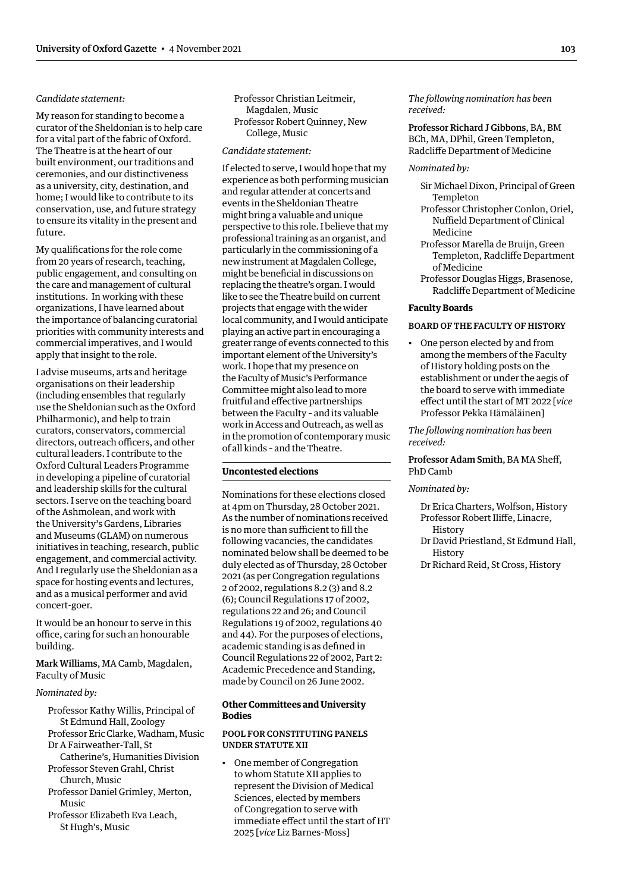# <span id="page-4-0"></span>*Candidate statement:*

My reason for standing to become a curator of the Sheldonian is to help care for a vital part of the fabric of Oxford. The Theatre is at the heart of our built environment, our traditions and ceremonies, and our distinctiveness as a university, city, destination, and home; I would like to contribute to its conservation, use, and future strategy to ensure its vitality in the present and future.

My qualifications for the role come from 20 years of research, teaching, public engagement, and consulting on the care and management of cultural institutions. In working with these organizations, I have learned about the importance of balancing curatorial priorities with community interests and commercial imperatives, and I would apply that insight to the role.

I advise museums, arts and heritage organisations on their leadership (including ensembles that regularly use the Sheldonian such as the Oxford Philharmonic), and help to train curators, conservators, commercial directors, outreach officers, and other cultural leaders. I contribute to the Oxford Cultural Leaders Programme in developing a pipeline of curatorial and leadership skills for the cultural sectors. I serve on the teaching board of the Ashmolean, and work with the University's Gardens, Libraries and Museums (GLAM) on numerous initiatives in teaching, research, public engagement, and commercial activity. And I regularly use the Sheldonian as a space for hosting events and lectures, and as a musical performer and avid concert-goer.

It would be an honour to serve in this office, caring for such an honourable building.

Mark Williams, MA Camb, Magdalen, Faculty of Music

# *Nominated by:*

- Professor Kathy Willis, Principal of St Edmund Hall, Zoology Professor Eric Clarke, Wadham, Music
- Dr A Fairweather-Tall, St Catherine's, Humanities Division
- Professor Steven Grahl, Christ Church, Music
- Professor Daniel Grimley, Merton, Music
- Professor Elizabeth Eva Leach, St Hugh's, Music

Professor Christian Leitmeir, Magdalen, Music Professor Robert Quinney, New College, Music

#### *Candidate statement:*

If elected to serve, I would hope that my experience as both performing musician and regular attender at concerts and events in the Sheldonian Theatre might bring a valuable and unique perspective to this role. I believe that my professional training as an organist, and particularly in the commissioning of a new instrument at Magdalen College, might be beneficial in discussions on replacing the theatre's organ. I would like to see the Theatre build on current projects that engage with the wider local community, and I would anticipate playing an active part in encouraging a greater range of events connected to this important element of the University's work. I hope that my presence on the Faculty of Music's Performance Committee might also lead to more fruitful and effective partnerships between the Faculty – and its valuable work in Access and Outreach, as well as in the promotion of contemporary music of all kinds – and the Theatre.

# **Uncontested elections**

Nominations for these elections closed at 4pm on Thursday, 28 October 2021. As the number of nominations received is no more than sufficient to fill the following vacancies, the candidates nominated below shall be deemed to be duly elected as of Thursday, 28 October 2021 (as per Congregation regulations 2 of 2002, regulations 8.2 (3) and 8.2 (6); Council Regulations 17 of 2002, regulations 22 and 26; and Council Regulations 19 of 2002, regulations 40 and 44). For the purposes of elections, academic standing is as defined in Council Regulations 22 of 2002, Part 2: Academic Precedence and Standing, made by Council on 26 June 2002.

# **Other Committees and University Bodies**

# POOL FOR CONSTITUTING PANELS UNDER STATUTE XII

• One member of Congregation to whom Statute XII applies to represent the Division of Medical Sciences, elected by members of Congregation to serve with immediate effect until the start of HT 2025 [*vice* Liz Barnes-Moss]

*The following nomination has been received:* 

Professor Richard J Gibbons, BA, BM BCh, MA, DPhil, Green Templeton, Radcliffe Department of Medicine

# *Nominated by:*

- Sir Michael Dixon, Principal of Green Templeton
- Professor Christopher Conlon, Oriel, Nuffield Department of Clinical Medicine
- Professor Marella de Bruijn, Green Templeton, Radcliffe Department of Medicine
- Professor Douglas Higgs, Brasenose, Radcliffe Department of Medicine

## **Faculty Boards**

## BOARD OF THE FACULTY OF HISTORY

• One person elected by and from among the members of the Faculty of History holding posts on the establishment or under the aegis of the board to serve with immediate effect until the start of MT 2022 [*vice* Professor Pekka Hämäläinen]

*The following nomination has been received:* 

# Professor Adam Smith, BA MA Sheff, PhD Camb

#### *Nominated by:*

Dr Erica Charters, Wolfson, History Professor Robert Iliffe, Linacre,

- **History**
- Dr David Priestland, St Edmund Hall, History
- Dr Richard Reid, St Cross, History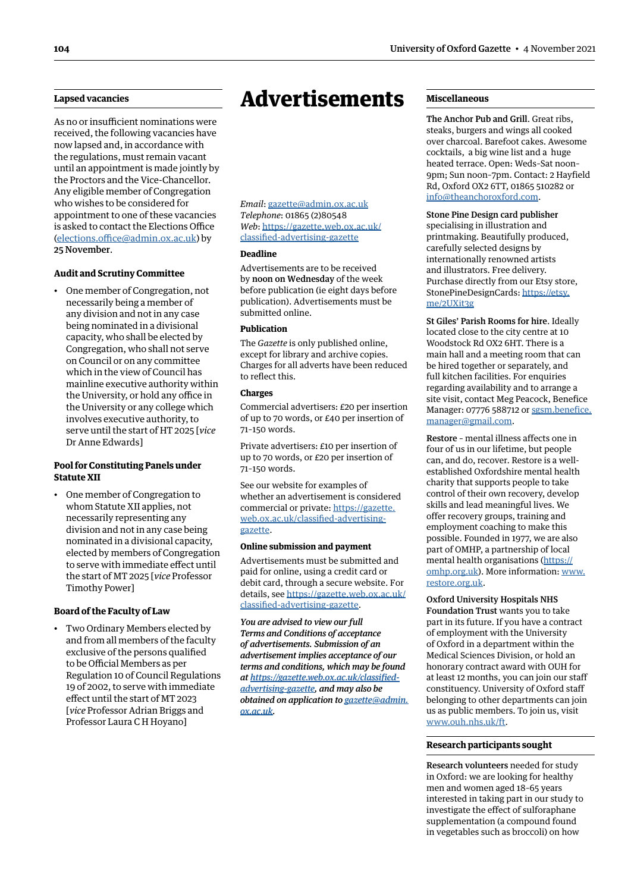# <span id="page-5-0"></span>**Lapsed vacancies**

As no or insufficient nominations were received, the following vacancies have now lapsed and, in accordance with the regulations, must remain vacant until an appointment is made jointly by the Proctors and the Vice-Chancellor. Any eligible member of Congregation who wishes to be considered for appointment to one of these vacancies is asked to contact the Elections Office [\(elections.office@admin.ox.ac.uk](mailto:elections.office@admin.ox.ac.uk)) by 25 November.

# **Audit and Scrutiny Committee**

• One member of Congregation, not necessarily being a member of any division and not in any case being nominated in a divisional capacity, who shall be elected by Congregation, who shall not serve on Council or on any committee which in the view of Council has mainline executive authority within the University, or hold any office in the University or any college which involves executive authority, to serve until the start of HT 2025 [*vice* Dr Anne Edwards]

# **Pool for Constituting Panels under Statute XII**

• One member of Congregation to whom Statute XII applies, not necessarily representing any division and not in any case being nominated in a divisional capacity, elected by members of Congregation to serve with immediate effect until the start of MT 2025 [*vice* Professor Timothy Power]

#### **Board of the Faculty of Law**

• Two Ordinary Members elected by and from all members of the faculty exclusive of the persons qualified to be Official Members as per Regulation 10 of Council Regulations 19 of 2002, to serve with immediate effect until the start of MT 2023 [*vice* Professor Adrian Briggs and Professor Laura C H Hoyano]

# Advertisements

*Email*: [gazette@admin.ox.ac.uk](mailto:gazette@admin.ox.ac.uk) *Telephone*: 01865 (2)80548 *Web*: https:/[/gazette.web.ox.ac.uk/](https://gazette.web.ox.ac.uk/classified-advertising-gazette) [classified-advertising-](https://gazette.web.ox.ac.uk/classified-advertising-gazette)gazette

## **Deadline**

Advertisements are to be received by noon on Wednesday of the week before publication (ie eight days before publication). Advertisements must be submitted online.

#### **Publication**

The *Gazette* is only published online, except for library and archive copies. Charges for all adverts have been reduced to reflect this.

#### **Charges**

Commercial advertisers: £20 per insertion of up to 70 words, or £40 per insertion of 71–150 words.

Private advertisers: £10 per insertion of up to 70 words, or £20 per insertion of 71–150 words.

See our website for examples of whether an advertisement is considered commercial or private: https://[gazette.](https://gazette.web.ox.ac.uk/classified-advertising-gazette) [web.ox.ac.uk/classified-advertising](https://gazette.web.ox.ac.uk/classified-advertising-gazette)gazette.

#### **Online submission and payment**

Advertisements must be submitted and paid for online, using a credit card or debit card, through a secure website. For details, see https:/[/gazette.web.ox.ac.uk/](https://gazette.web.ox.ac.uk/classified-advertising-gazette) [classified-advertising-](https://gazette.web.ox.ac.uk/classified-advertising-gazette)gazette.

*You are advised to view our full Terms and Conditions of acceptance of advertisements. Submission of an advertisement implies acceptance of our terms and conditions, which may be found at [https://gazette.web.ox.ac.uk/classified](https://gazette.web.ox.ac.uk/classified-advertising-gazette)[advertising-gazette,](https://gazette.web.ox.ac.uk/classified-advertising-gazette) and may also be obtained on application to [gazette@admin.](mailto:gazette@admin.ox.ac.uk) [ox.ac.uk](mailto:gazette@admin.ox.ac.uk).*

# **Miscellaneous**

The Anchor Pub and Grill. Great ribs, steaks, burgers and wings all cooked over charcoal. Barefoot cakes. Awesome cocktails, a big wine list and a huge heated terrace. Open: Weds–Sat noon– 9pm; Sun noon–7pm. Contact: 2 Hayfield Rd, Oxford OX2 6TT, 01865 510282 or [info@theanchoroxford.com.](mailto:info@theanchoroxford.com)

#### Stone Pine Design card publisher

specialising in illustration and printmaking. Beautifully produced, carefully selected designs by internationally renowned artists and illustrators. Free delivery. Purchase directly from our Etsy store, StonePineDesignCards: [https://etsy.](https://etsy.me/2UXit3g) [me/2UXit3g](https://etsy.me/2UXit3g)

St Giles' Parish Rooms for hire. Ideally located close to the city centre at 10 Woodstock Rd OX2 6HT. There is a main hall and a meeting room that can be hired together or separately, and full kitchen facilities. For enquiries regarding availability and to arrange a site visit, contact Meg Peacock, Benefice Manager: 07776 588712 or [sgsm.benefice.](mailto:sgsm.benefice.manager@gmail.com) [manager@gmail.com](mailto:sgsm.benefice.manager@gmail.com).

Restore – mental illness affects one in four of us in our lifetime, but people can, and do, recover. Restore is a wellestablished Oxfordshire mental health charity that supports people to take control of their own recovery, develop skills and lead meaningful lives. We offer recovery groups, training and employment coaching to make this possible. Founded in 1977, we are also part of OMHP, a partnership of local mental health organisations ([https://](https://omhp.org.uk) [omhp.org.uk](https://omhp.org.uk)). More information: [www.](http://www.restore.org.uk) [restore.org.uk.](http://www.restore.org.uk)

Oxford University Hospitals NHS Foundation Trust wants you to take part in its future. If you have a contract of employment with the University of Oxford in a department within the Medical Sciences Division, or hold an honorary contract award with OUH for at least 12 months, you can join our staff constituency. University of Oxford staff belonging to other departments can join us as public members. To join us, visit [www.ouh.nhs.uk/ft.](http://www.ouh.nhs.uk/ft)

#### **Research participants sought**

Research volunteers needed for study in Oxford: we are looking for healthy men and women aged 18–65 years interested in taking part in our study to investigate the effect of sulforaphane supplementation (a compound found in vegetables such as broccoli) on how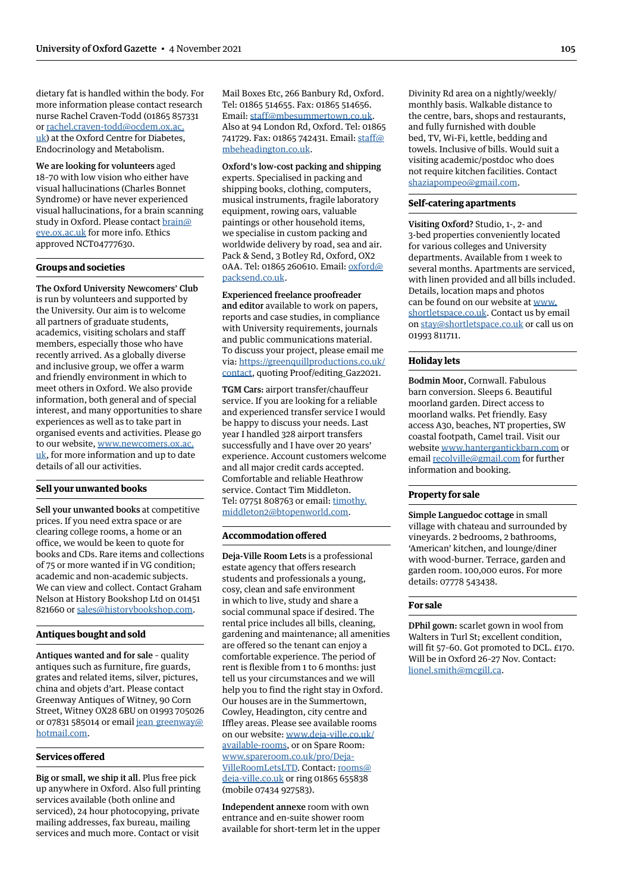dietary fat is handled within the body. For more information please contact research nurse Rachel Craven-Todd (01865 857331 or [rachel.craven-todd@ocdem.ox.ac.](mailto:rachel.craven-todd@ocdem.ox.ac.uk) [uk\)](mailto:rachel.craven-todd@ocdem.ox.ac.uk) at the Oxford Centre for Diabetes, Endocrinology and Metabolism.

We are looking for volunteers aged 18–70 with low vision who either have visual hallucinations (Charles Bonnet Syndrome) or have never experienced visual hallucinations, for a brain scanning study in Oxford. Please contact [brain@](mailto:brain@eye.ox.ac.uk) [eye.ox.ac.uk](mailto:brain@eye.ox.ac.uk) for more info. Ethics approved NCT04777630.

#### **Groups and societies**

The Oxford University Newcomers' Club is run by volunteers and supported by the University. Our aim is to welcome all partners of graduate students, academics, visiting scholars and staff members, especially those who have recently arrived. As a globally diverse and inclusive group, we offer a warm and friendly environment in which to meet others in Oxford. We also provide information, both general and of special interest, and many opportunities to share experiences as well as to take part in organised events and activities. Please go to our website, [www.newcomers.ox.ac.](http://www.newcomers.ox.ac.uk) [uk,](http://www.newcomers.ox.ac.uk) for more information and up to date details of all our activities.

#### **Sell your unwanted books**

Sell your unwanted books at competitive prices. If you need extra space or are clearing college rooms, a home or an office, we would be keen to quote for books and CDs. Rare items and collections of 75 or more wanted if in VG condition; academic and non-academic subjects. We can view and collect. Contact Graham Nelson at History Bookshop Ltd on 01451 821660 or [sales@historybookshop.com.](mailto:sales@historybookshop.com)

# **Antiques bought and sold**

Antiques wanted and for sale – quality antiques such as furniture, fire guards, grates and related items, silver, pictures, china and objets d'art. Please contact Greenway Antiques of Witney, 90 Corn Street, Witney OX28 6BU on 01993 705026 or 07831 585014 or email jean greenway@ [hotmail.com](mailto:jean_greenway@hotmail.com).

# **Services offered**

Big or small, we ship it all. Plus free pick up anywhere in Oxford. Also full printing services available (both online and serviced), 24 hour photocopying, private mailing addresses, fax bureau, mailing services and much more. Contact or visit

Mail Boxes Etc, 266 Banbury Rd, Oxford. Tel: 01865 514655. Fax: 01865 514656. Email: [staff@mbesummertown.co.uk](mailto:staff@mbesummertown.co.uk). Also at 94 London Rd, Oxford. Tel: 01865 741729. Fax: 01865 742431. Email: [staff@](mailto:staff@mbeheadington.co.uk) [mbeheadington.co.uk.](mailto:staff@mbeheadington.co.uk)

Oxford's low-cost packing and shipping experts. Specialised in packing and shipping books, clothing, computers, musical instruments, fragile laboratory equipment, rowing oars, valuable paintings or other household items, we specialise in custom packing and worldwide delivery by road, sea and air. Pack & Send, 3 Botley Rd, Oxford, OX2 0AA. Tel: 01865 260610. Email: [oxford@](mailto:oxford@packsend.co.uk) [packsend.co.uk.](mailto:oxford@packsend.co.uk)

Experienced freelance proofreader and editor available to work on papers, reports and case studies, in compliance with University requirements, journals and public communications material. To discuss your project, please email me via: [https://greenquillproductions.co.uk/](https://greenquillproductions.co.uk/contact) [contact,](https://greenquillproductions.co.uk/contact) quoting Proof/editing\_Gaz2021.

TGM Cars: airport transfer/chauffeur service. If you are looking for a reliable and experienced transfer service I would be happy to discuss your needs. Last year I handled 328 airport transfers successfully and I have over 20 years' experience. Account customers welcome and all major credit cards accepted. Comfortable and reliable Heathrow service. Contact Tim Middleton. Tel: 07751 808763 or email: [timothy.](mailto:timothy.middleton2@btopenworld.com) [middleton2@btopenworld.com.](mailto:timothy.middleton2@btopenworld.com)

## **Accommodation offered**

Deja-Ville Room Lets is a professional estate agency that offers research students and professionals a young, cosy, clean and safe environment in which to live, study and share a social communal space if desired. The rental price includes all bills, cleaning, gardening and maintenance; all amenities are offered so the tenant can enjoy a comfortable experience. The period of rent is flexible from 1 to 6 months: just tell us your circumstances and we will help you to find the right stay in Oxford. Our houses are in the Summertown, Cowley, Headington, city centre and Iffley areas. Please see available rooms on our website: [www.deja-ville.co.uk/](http://www.deja-ville.co.uk/available-rooms) [available-rooms,](http://www.deja-ville.co.uk/available-rooms) or on Spare Room: [www.spareroom.co.uk/pro/Deja-](http://www.spareroom.co.uk/pro/Deja-VilleRoomLetsLTD)[VilleRoomLetsLTD.](http://www.spareroom.co.uk/pro/Deja-VilleRoomLetsLTD) Contact: [rooms@](mailto:rooms@deja-ville.co.uk) [deja-ville.co.uk](mailto:rooms@deja-ville.co.uk) or ring 01865 655838 (mobile 07434 927583).

Independent annexe room with own entrance and en-suite shower room available for short-term let in the upper Divinity Rd area on a nightly/weekly/ monthly basis. Walkable distance to the centre, bars, shops and restaurants, and fully furnished with double bed, TV, Wi-Fi, kettle, bedding and towels. Inclusive of bills. Would suit a visiting academic/postdoc who does not require kitchen facilities. Contact [shaziapompeo@gmail.com](mailto:shaziapompeo@gmail.com).

# **Self-catering apartments**

Visiting Oxford? Studio, 1-, 2- and 3-bed properties conveniently located for various colleges and University departments. Available from 1 week to several months. Apartments are serviced, with linen provided and all bills included. Details, location maps and photos can be found on our website at [www.](http://www.shortletspace.co.uk) [shortletspace.co.uk](http://www.shortletspace.co.uk). Contact us by email on [stay@shortletspace.co.uk](mailto:stay@shortletspace.co.uk) or call us on 01993 811711.

# **Holiday lets**

Bodmin Moor, Cornwall. Fabulous barn conversion. Sleeps 6. Beautiful moorland garden. Direct access to moorland walks. Pet friendly. Easy access A30, beaches, NT properties, SW coastal footpath, Camel trail. Visit our website [www.hantergantickbarn.com](http://www.hantergantickbarn.com) or email [recolville@gmail.com](mailto:recolville@gmail.com) for further information and booking.

#### **Property for sale**

Simple Languedoc cottage in small village with chateau and surrounded by vineyards. 2 bedrooms, 2 bathrooms, 'American' kitchen, and lounge/diner with wood-burner. Terrace, garden and garden room. 100,000 euros. For more details: 07778 543438.

#### **For sale**

DPhil gown: scarlet gown in wool from Walters in Turl St; excellent condition, will fit 57–60. Got promoted to DCL. £170. Will be in Oxford 26–27 Nov. Contact: [lionel.smith@mcgill.ca](mailto:lionel.smith@mcgill.ca).